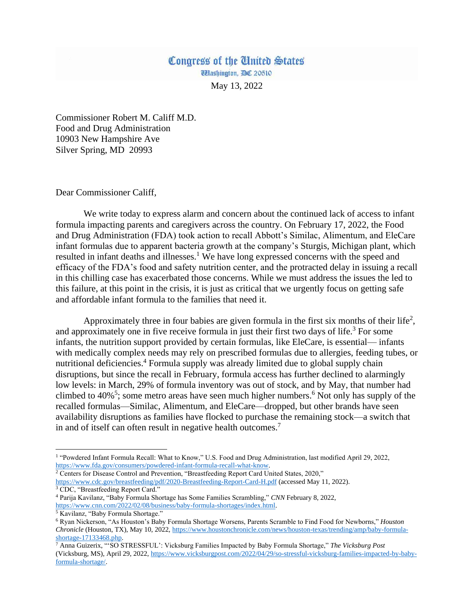## Congress of the United States Washington, DC 20510

May 13, 2022

Commissioner Robert M. Califf M.D. Food and Drug Administration 10903 New Hampshire Ave Silver Spring, MD 20993

Dear Commissioner Califf,

We write today to express alarm and concern about the continued lack of access to infant formula impacting parents and caregivers across the country. On February 17, 2022, the Food and Drug Administration (FDA) took action to recall Abbott's Similac, Alimentum, and EleCare infant formulas due to apparent bacteria growth at the company's Sturgis, Michigan plant, which resulted in infant deaths and illnesses.<sup>1</sup> We have long expressed concerns with the speed and efficacy of the FDA's food and safety nutrition center, and the protracted delay in issuing a recall in this chilling case has exacerbated those concerns. While we must address the issues the led to this failure, at this point in the crisis, it is just as critical that we urgently focus on getting safe and affordable infant formula to the families that need it.

Approximately three in four babies are given formula in the first six months of their life<sup>2</sup>, and approximately one in five receive formula in just their first two days of life.<sup>3</sup> For some infants, the nutrition support provided by certain formulas, like EleCare, is essential— infants with medically complex needs may rely on prescribed formulas due to allergies, feeding tubes, or nutritional deficiencies.<sup>4</sup> Formula supply was already limited due to global supply chain disruptions, but since the recall in February, formula access has further declined to alarmingly low levels: in March, 29% of formula inventory was out of stock, and by May, that number had climbed to  $40\%$ <sup>5</sup>; some metro areas have seen much higher numbers.<sup>6</sup> Not only has supply of the recalled formulas—Similac, Alimentum, and EleCare—dropped, but other brands have seen availability disruptions as families have flocked to purchase the remaining stock—a switch that in and of itself can often result in negative health outcomes.<sup>7</sup>

 $\overline{\phantom{a}}$ <sup>1</sup> "Powdered Infant Formula Recall: What to Know," U.S. Food and Drug Administration, last modified April 29, 2022, [https://www.fda.gov/consumers/powdered-infant-formula-recall-what-know.](https://www.fda.gov/consumers/powdered-infant-formula-recall-what-know)

<sup>&</sup>lt;sup>2</sup> Centers for Disease Control and Prevention, "Breastfeeding Report Card United States, 2020," <https://www.cdc.gov/breastfeeding/pdf/2020-Breastfeeding-Report-Card-H.pdf> (accessed May 11, 2022).

<sup>&</sup>lt;sup>3</sup> CDC, "Breastfeeding Report Card."

<sup>4</sup> Parija Kavilanz, "Baby Formula Shortage has Some Families Scrambling," *CNN* February 8, 2022, [https://www.cnn.com/2022/02/08/business/baby-formula-shortages/index.html.](https://www.cnn.com/2022/02/08/business/baby-formula-shortages/index.html)

<sup>5</sup> Kavilanz, "Baby Formula Shortage."

<sup>6</sup> Ryan Nickerson, "As Houston's Baby Formula Shortage Worsens, Parents Scramble to Find Food for Newborns," *Houston Chronicle* (Houston, TX), May 10, 2022[, https://www.houstonchronicle.com/news/houston-texas/trending/amp/baby-formula](https://www.houstonchronicle.com/news/houston-texas/trending/amp/baby-formula-shortage-17133468.php)[shortage-17133468.php.](https://www.houstonchronicle.com/news/houston-texas/trending/amp/baby-formula-shortage-17133468.php)

<sup>7</sup> Anna Guizerix, "'SO STRESSFUL': Vicksburg Families Impacted by Baby Formula Shortage," *The Vicksburg Post*  (Vicksburg, MS), April 29, 2022[, https://www.vicksburgpost.com/2022/04/29/so-stressful-vicksburg-families-impacted-by-baby](https://www.vicksburgpost.com/2022/04/29/so-stressful-vicksburg-families-impacted-by-baby-formula-shortage/)[formula-shortage/.](https://www.vicksburgpost.com/2022/04/29/so-stressful-vicksburg-families-impacted-by-baby-formula-shortage/)